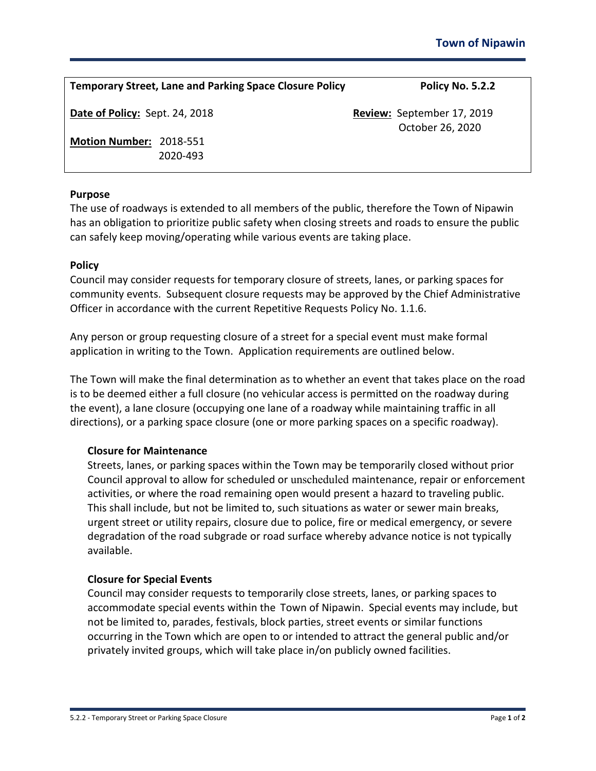| <b>Temporary Street, Lane and Parking Space Closure Policy</b> | Policy No. 5.2.2                               |
|----------------------------------------------------------------|------------------------------------------------|
| Date of Policy: Sept. 24, 2018                                 | Review: September 17, 2019<br>October 26, 2020 |
| Motion Number: 2018-551<br>2020-493                            |                                                |

### **Purpose**

The use of roadways is extended to all members of the public, therefore the Town of Nipawin has an obligation to prioritize public safety when closing streets and roads to ensure the public can safely keep moving/operating while various events are taking place.

#### **Policy**

Council may consider requests for temporary closure of streets, lanes, or parking spaces for community events. Subsequent closure requests may be approved by the Chief Administrative Officer in accordance with the current Repetitive Requests Policy No. 1.1.6.

Any person or group requesting closure of a street for a special event must make formal application in writing to the Town. Application requirements are outlined below.

The Town will make the final determination as to whether an event that takes place on the road is to be deemed either a full closure (no vehicular access is permitted on the roadway during the event), a lane closure (occupying one lane of a roadway while maintaining traffic in all directions), or a parking space closure (one or more parking spaces on a specific roadway).

#### **Closure for Maintenance**

Streets, lanes, or parking spaces within the Town may be temporarily closed without prior Council approval to allow for scheduled or unscheduled maintenance, repair or enforcement activities, or where the road remaining open would present a hazard to traveling public. This shall include, but not be limited to, such situations as water or sewer main breaks, urgent street or utility repairs, closure due to police, fire or medical emergency, or severe degradation of the road subgrade or road surface whereby advance notice is not typically available.

#### **Closure for Special Events**

Council may consider requests to temporarily close streets, lanes, or parking spaces to accommodate special events within the Town of Nipawin. Special events may include, but not be limited to, parades, festivals, block parties, street events or similar functions occurring in the Town which are open to or intended to attract the general public and/or privately invited groups, which will take place in/on publicly owned facilities.